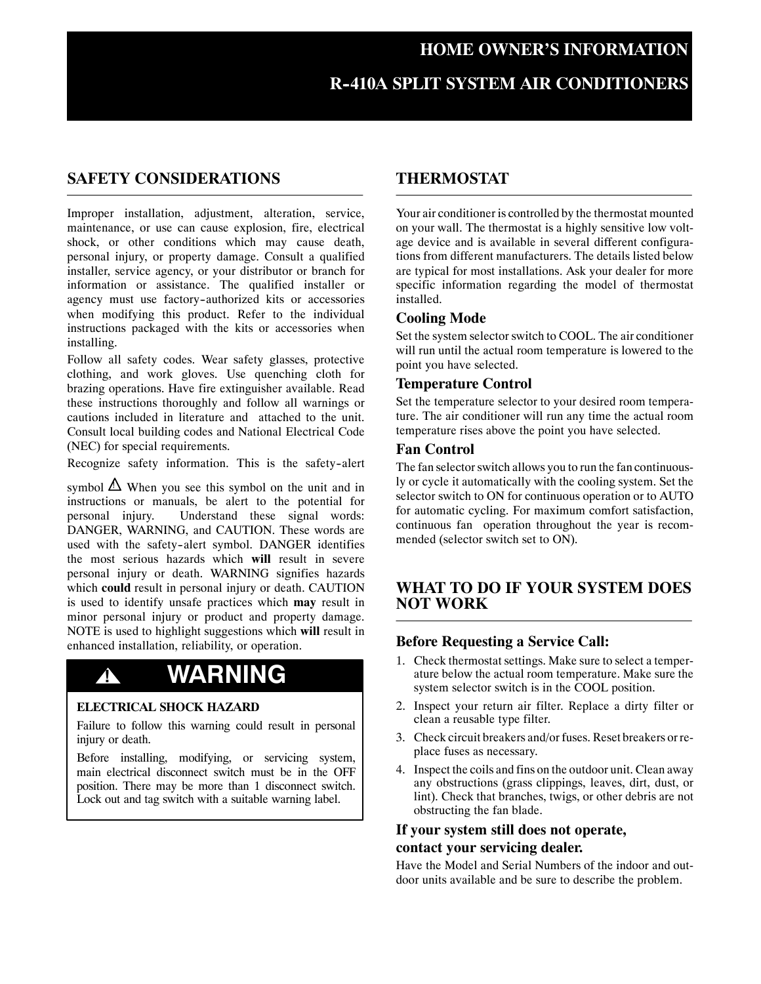# **R--410A SPLIT SYSTEM AIR CONDITIONERS**

### **SAFETY CONSIDERATIONS**

Improper installation, adjustment, alteration, service, maintenance, or use can cause explosion, fire, electrical shock, or other conditions which may cause death, personal injury, or property damage. Consult a qualified installer, service agency, or your distributor or branch for information or assistance. The qualified installer or agency must use factory-authorized kits or accessories when modifying this product. Refer to the individual instructions packaged with the kits or accessories when installing.

Follow all safety codes. Wear safety glasses, protective clothing, and work gloves. Use quenching cloth for brazing operations. Have fire extinguisher available. Read these instructions thoroughly and follow all warnings or cautions included in literature and attached to the unit. Consult local building codes and National Electrical Code (NEC) for special requirements.

Recognize safety information. This is the safety-alert

symbol  $\Delta$  When you see this symbol on the unit and in instructions or manuals, be alert to the potential for personal injury. Understand these signal words: DANGER, WARNING, and CAUTION. These words are used with the safety-alert symbol. DANGER identifies the most serious hazards which **will** result in severe personal injury or death. WARNING signifies hazards which **could** result in personal injury or death. CAUTION is used to identify unsafe practices which **may** result in minor personal injury or product and property damage. NOTE is used to highlight suggestions which **will** result in enhanced installation, reliability, or operation.

# **! WARNING**

#### **ELECTRICAL SHOCK HAZARD**

Failure to follow this warning could result in personal injury or death.

Before installing, modifying, or servicing system, main electrical disconnect switch must be in the OFF position. There may be more than 1 disconnect switch. Lock out and tag switch with a suitable warning label.

# **THERMOSTAT**

Your air conditioner is controlled by the thermostat mounted on your wall. The thermostat is a highly sensitive low voltage device and is available in several different configurations from different manufacturers. The details listed below are typical for most installations. Ask your dealer for more specific information regarding the model of thermostat installed.

#### **Cooling Mode**

Set the system selector switch to COOL. The air conditioner will run until the actual room temperature is lowered to the point you have selected.

#### **Temperature Control**

Set the temperature selector to your desired room temperature. The air conditioner will run any time the actual room temperature rises above the point you have selected.

#### **Fan Control**

The fan selector switch allows you to run the fan continuously or cycle it automatically with the cooling system. Set the selector switch to ON for continuous operation or to AUTO for automatic cycling. For maximum comfort satisfaction, continuous fan operation throughout the year is recommended (selector switch set to ON).

# **WHAT TO DO IF YOUR SYSTEM DOES NOT WORK**

#### **Before Requesting a Service Call:**

- 1. Check thermostat settings. Make sure to select a temperature below the actual room temperature. Make sure the system selector switch is in the COOL position.
- 2. Inspect your return air filter. Replace a dirty filter or clean a reusable type filter.
- 3. Check circuit breakers and/or fuses. Reset breakers or replace fuses as necessary.
- 4. Inspect the coils and fins on the outdoor unit. Clean away any obstructions (grass clippings, leaves, dirt, dust, or lint). Check that branches, twigs, or other debris are not obstructing the fan blade.

## **If your system still does not operate, contact your servicing dealer.**

Have the Model and Serial Numbers of the indoor and outdoor units available and be sure to describe the problem.